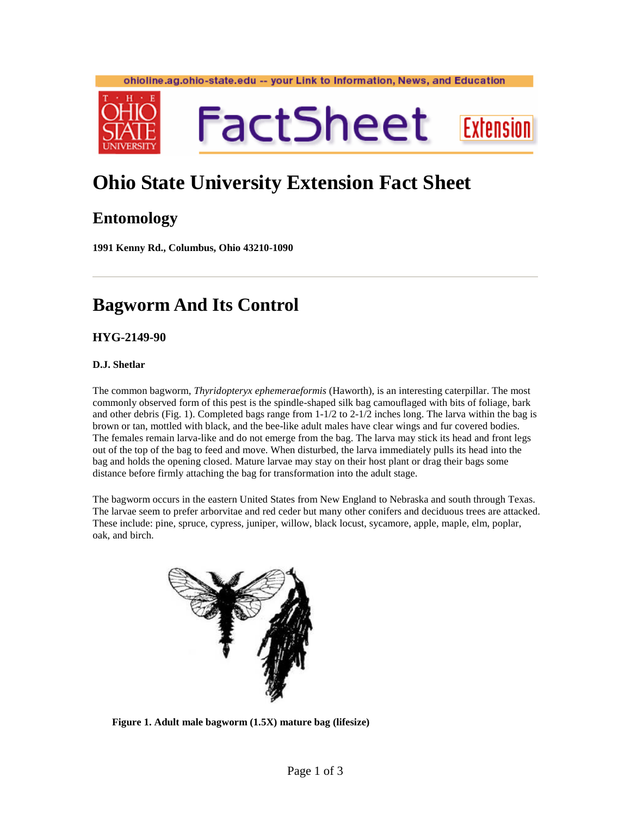#### ohioline.ag.ohio-state.edu -- your Link to Information, News, and Education



# **Ohio State University Extension Fact Sheet**

### **Entomology**

**1991 Kenny Rd., Columbus, Ohio 43210-1090** 

## **Bagworm And Its Control**

**HYG-2149-90** 

#### **D.J. Shetlar**

The common bagworm, *Thyridopteryx ephemeraeformis* (Haworth), is an interesting caterpillar. The most commonly observed form of this pest is the spindle-shaped silk bag camouflaged with bits of foliage, bark and other debris (Fig. 1). Completed bags range from 1-1/2 to 2-1/2 inches long. The larva within the bag is brown or tan, mottled with black, and the bee-like adult males have clear wings and fur covered bodies. The females remain larva-like and do not emerge from the bag. The larva may stick its head and front legs out of the top of the bag to feed and move. When disturbed, the larva immediately pulls its head into the bag and holds the opening closed. Mature larvae may stay on their host plant or drag their bags some distance before firmly attaching the bag for transformation into the adult stage.

The bagworm occurs in the eastern United States from New England to Nebraska and south through Texas. The larvae seem to prefer arborvitae and red ceder but many other conifers and deciduous trees are attacked. These include: pine, spruce, cypress, juniper, willow, black locust, sycamore, apple, maple, elm, poplar, oak, and birch.



**Figure 1. Adult male bagworm (1.5X) mature bag (lifesize)**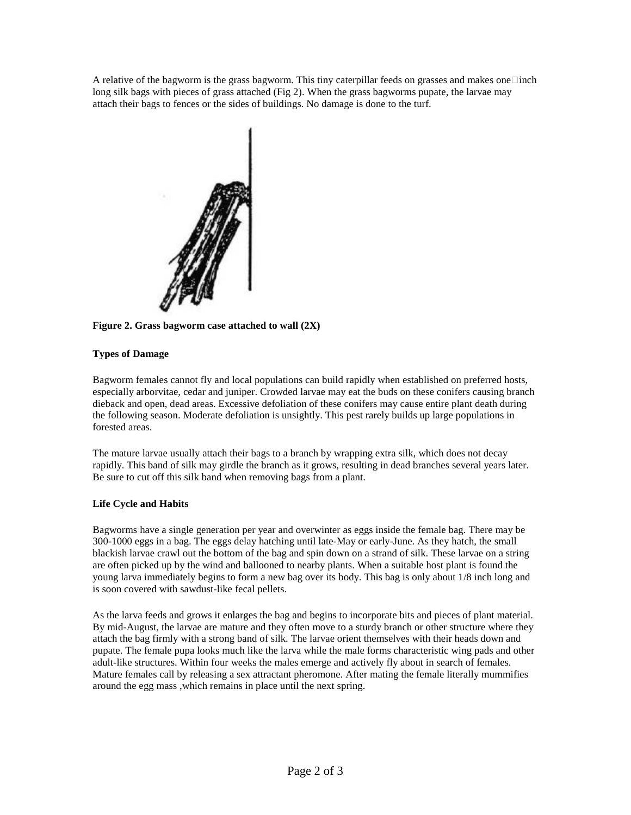A relative of the bagworm is the grass bagworm. This tiny caterpillar feeds on grasses and makes one inch long silk bags with pieces of grass attached (Fig 2). When the grass bagworms pupate, the larvae may attach their bags to fences or the sides of buildings. No damage is done to the turf.



**Figure 2. Grass bagworm case attached to wall (2X)** 

#### **Types of Damage**

Bagworm females cannot fly and local populations can build rapidly when established on preferred hosts, especially arborvitae, cedar and juniper. Crowded larvae may eat the buds on these conifers causing branch dieback and open, dead areas. Excessive defoliation of these conifers may cause entire plant death during the following season. Moderate defoliation is unsightly. This pest rarely builds up large populations in forested areas.

The mature larvae usually attach their bags to a branch by wrapping extra silk, which does not decay rapidly. This band of silk may girdle the branch as it grows, resulting in dead branches several years later. Be sure to cut off this silk band when removing bags from a plant.

#### **Life Cycle and Habits**

Bagworms have a single generation per year and overwinter as eggs inside the female bag. There may be 300-1000 eggs in a bag. The eggs delay hatching until late-May or early-June. As they hatch, the small blackish larvae crawl out the bottom of the bag and spin down on a strand of silk. These larvae on a string are often picked up by the wind and ballooned to nearby plants. When a suitable host plant is found the young larva immediately begins to form a new bag over its body. This bag is only about 1/8 inch long and is soon covered with sawdust-like fecal pellets.

As the larva feeds and grows it enlarges the bag and begins to incorporate bits and pieces of plant material. By mid-August, the larvae are mature and they often move to a sturdy branch or other structure where they attach the bag firmly with a strong band of silk. The larvae orient themselves with their heads down and pupate. The female pupa looks much like the larva while the male forms characteristic wing pads and other adult-like structures. Within four weeks the males emerge and actively fly about in search of females. Mature females call by releasing a sex attractant pheromone. After mating the female literally mummifies around the egg mass ,which remains in place until the next spring.